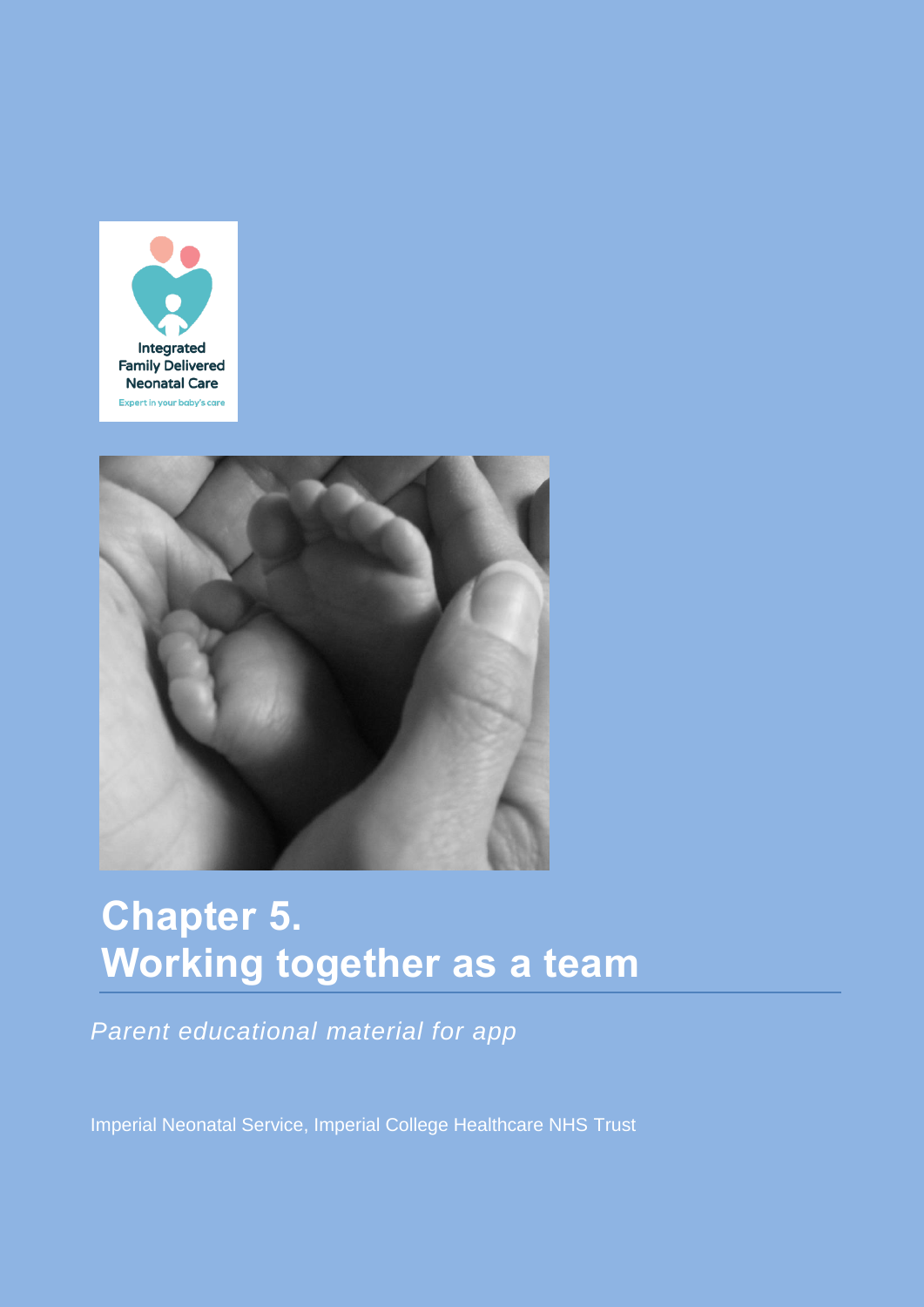



# **Chapter 5. Working together as a team**

*Parent educational material for app*

Imperial Neonatal Service, Imperial College Healthcare NHS Trust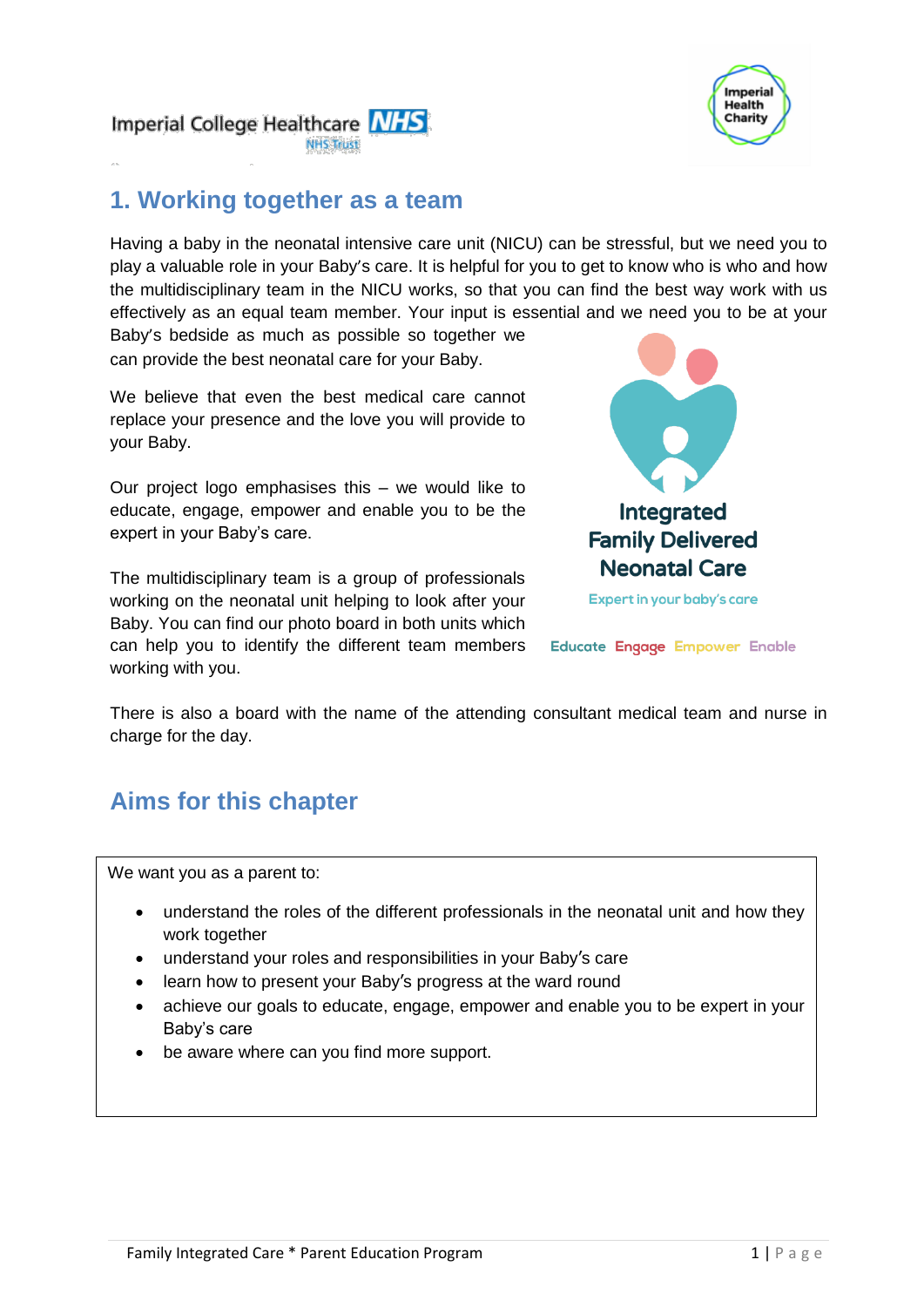

Imperial College Healthcare NHS **NHS Trust** 

# **1. Working together as a team**

Having a baby in the neonatal intensive care unit (NICU) can be stressful, but we need you to play a valuable role in your Baby's care. It is helpful for you to get to know who is who and how the multidisciplinary team in the NICU works, so that you can find the best way work with us effectively as an equal team member. Your input is essential and we need you to be at your

Baby's bedside as much as possible so together we can provide the best neonatal care for your Baby.

We believe that even the best medical care cannot replace your presence and the love you will provide to your Baby.

Our project logo emphasises this – we would like to educate, engage, empower and enable you to be the expert in your Baby's care.

The multidisciplinary team is a group of professionals working on the neonatal unit helping to look after your Baby. You can find our photo board in both units which can help you to identify the different team members working with you.



Educate Engage Empower Enable

There is also a board with the name of the attending consultant medical team and nurse in charge for the day.

# **Aims for this chapter**

We want you as a parent to:

- understand the roles of the different professionals in the neonatal unit and how they work together
- understand your roles and responsibilities in your Baby's care
- learn how to present your Baby's progress at the ward round
- achieve our goals to educate, engage, empower and enable you to be expert in your Baby's care
- be aware where can you find more support.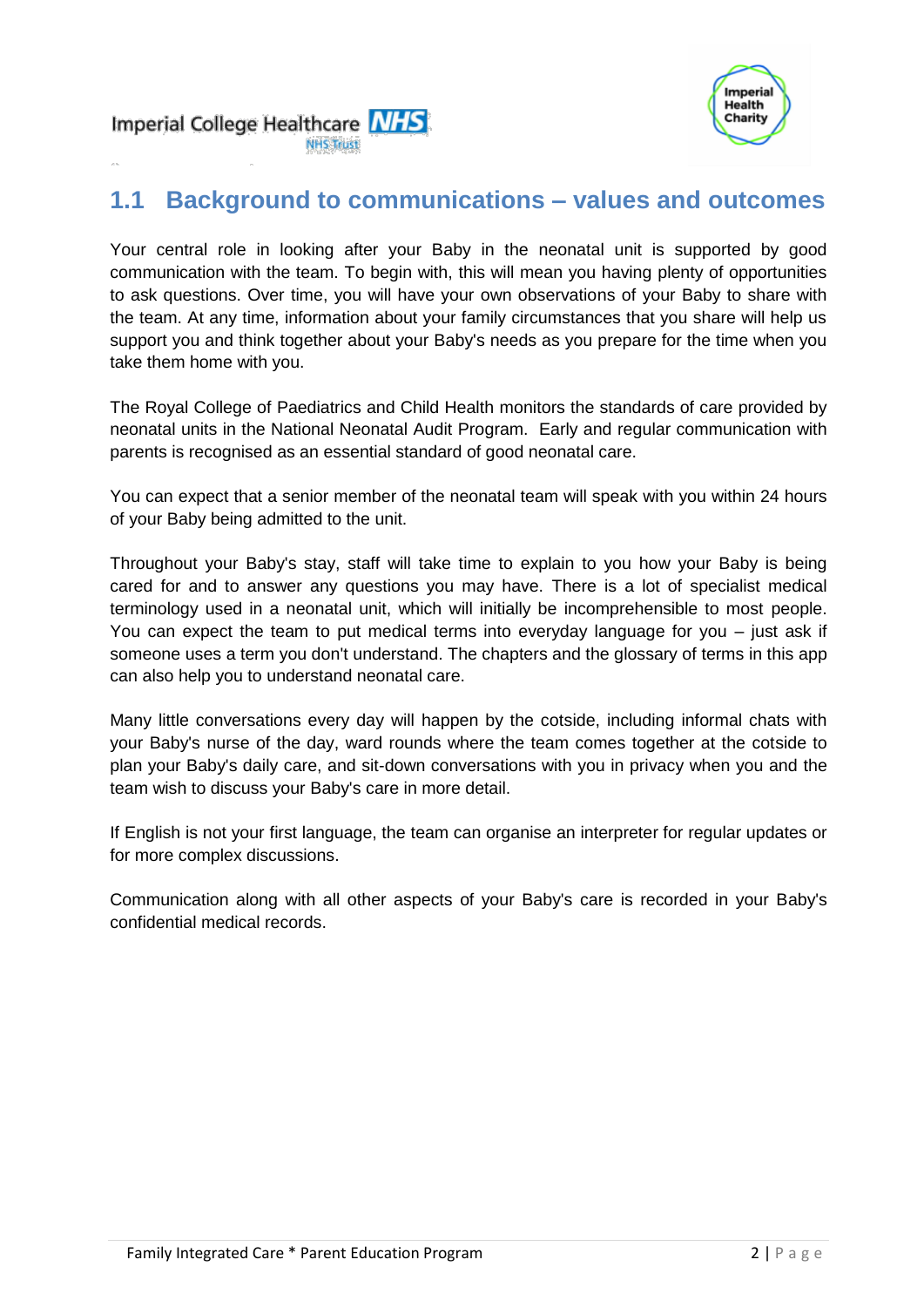



### **1.1 Background to communications – values and outcomes**

**NHS Trust** 

Your central role in looking after your Baby in the neonatal unit is supported by good communication with the team. To begin with, this will mean you having plenty of opportunities to ask questions. Over time, you will have your own observations of your Baby to share with the team. At any time, information about your family circumstances that you share will help us support you and think together about your Baby's needs as you prepare for the time when you take them home with you.

The Royal College of Paediatrics and Child Health monitors the standards of care provided by neonatal units in the National Neonatal Audit Program. Early and regular communication with parents is recognised as an essential standard of good neonatal care.

You can expect that a senior member of the neonatal team will speak with you within 24 hours of your Baby being admitted to the unit.

Throughout your Baby's stay, staff will take time to explain to you how your Baby is being cared for and to answer any questions you may have. There is a lot of specialist medical terminology used in a neonatal unit, which will initially be incomprehensible to most people. You can expect the team to put medical terms into everyday language for you – just ask if someone uses a term you don't understand. The chapters and the glossary of terms in this app can also help you to understand neonatal care.

Many little conversations every day will happen by the cotside, including informal chats with your Baby's nurse of the day, ward rounds where the team comes together at the cotside to plan your Baby's daily care, and sit-down conversations with you in privacy when you and the team wish to discuss your Baby's care in more detail.

If English is not your first language, the team can organise an interpreter for regular updates or for more complex discussions.

Communication along with all other aspects of your Baby's care is recorded in your Baby's confidential medical records.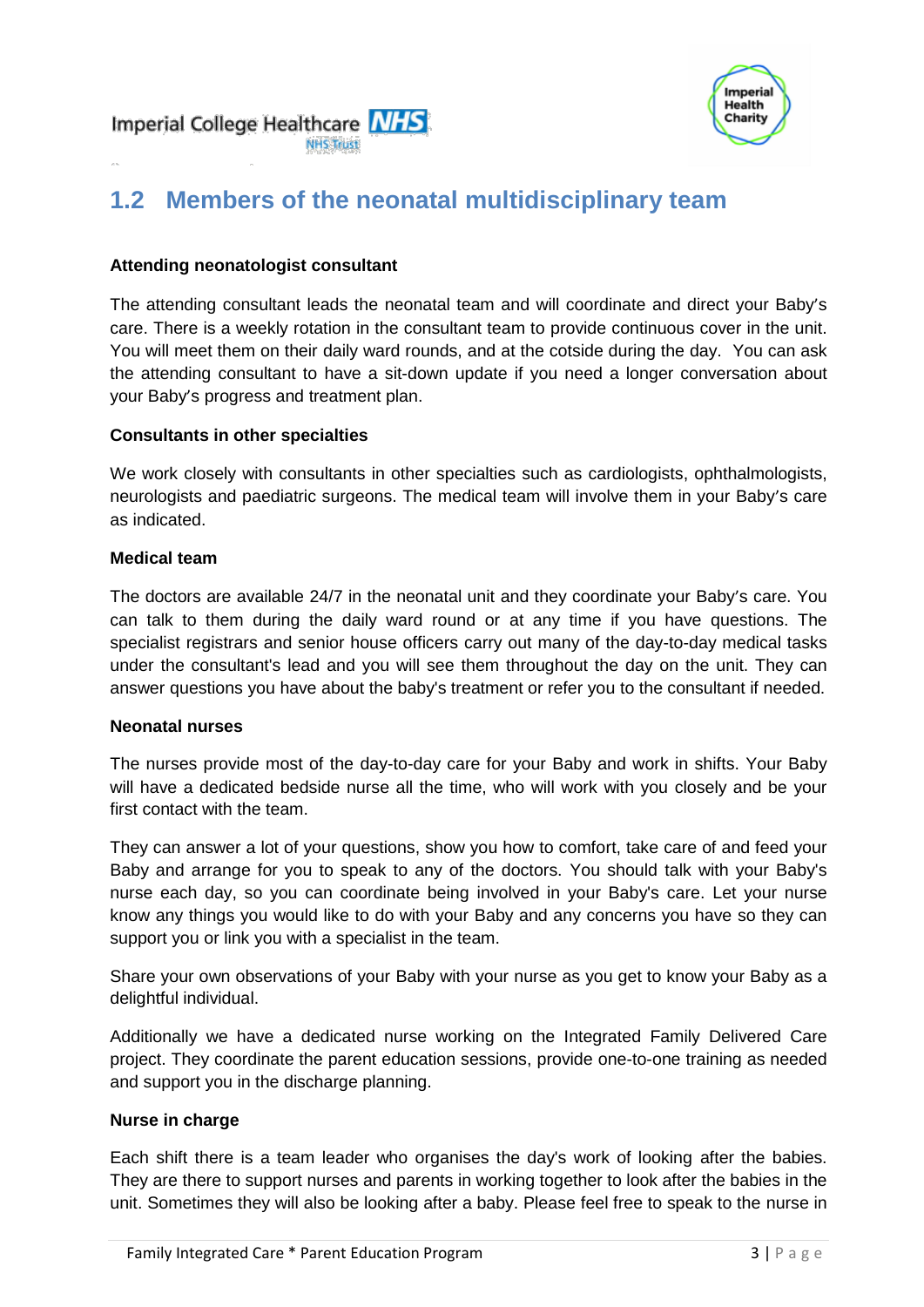



# **1.2 Members of the neonatal multidisciplinary team**

#### **Attending neonatologist consultant**

The attending consultant leads the neonatal team and will coordinate and direct your Baby's care. There is a weekly rotation in the consultant team to provide continuous cover in the unit. You will meet them on their daily ward rounds, and at the cotside during the day. You can ask the attending consultant to have a sit-down update if you need a longer conversation about your Baby's progress and treatment plan.

#### **Consultants in other specialties**

We work closely with consultants in other specialties such as cardiologists, ophthalmologists, neurologists and paediatric surgeons. The medical team will involve them in your Baby's care as indicated.

#### **Medical team**

The doctors are available 24/7 in the neonatal unit and they coordinate your Baby's care. You can talk to them during the daily ward round or at any time if you have questions. The specialist registrars and senior house officers carry out many of the day-to-day medical tasks under the consultant's lead and you will see them throughout the day on the unit. They can answer questions you have about the baby's treatment or refer you to the consultant if needed.

#### **Neonatal nurses**

The nurses provide most of the day-to-day care for your Baby and work in shifts. Your Baby will have a dedicated bedside nurse all the time, who will work with you closely and be your first contact with the team.

They can answer a lot of your questions, show you how to comfort, take care of and feed your Baby and arrange for you to speak to any of the doctors. You should talk with your Baby's nurse each day, so you can coordinate being involved in your Baby's care. Let your nurse know any things you would like to do with your Baby and any concerns you have so they can support you or link you with a specialist in the team.

Share your own observations of your Baby with your nurse as you get to know your Baby as a delightful individual.

Additionally we have a dedicated nurse working on the Integrated Family Delivered Care project. They coordinate the parent education sessions, provide one-to-one training as needed and support you in the discharge planning.

#### **Nurse in charge**

Each shift there is a team leader who organises the day's work of looking after the babies. They are there to support nurses and parents in working together to look after the babies in the unit. Sometimes they will also be looking after a baby. Please feel free to speak to the nurse in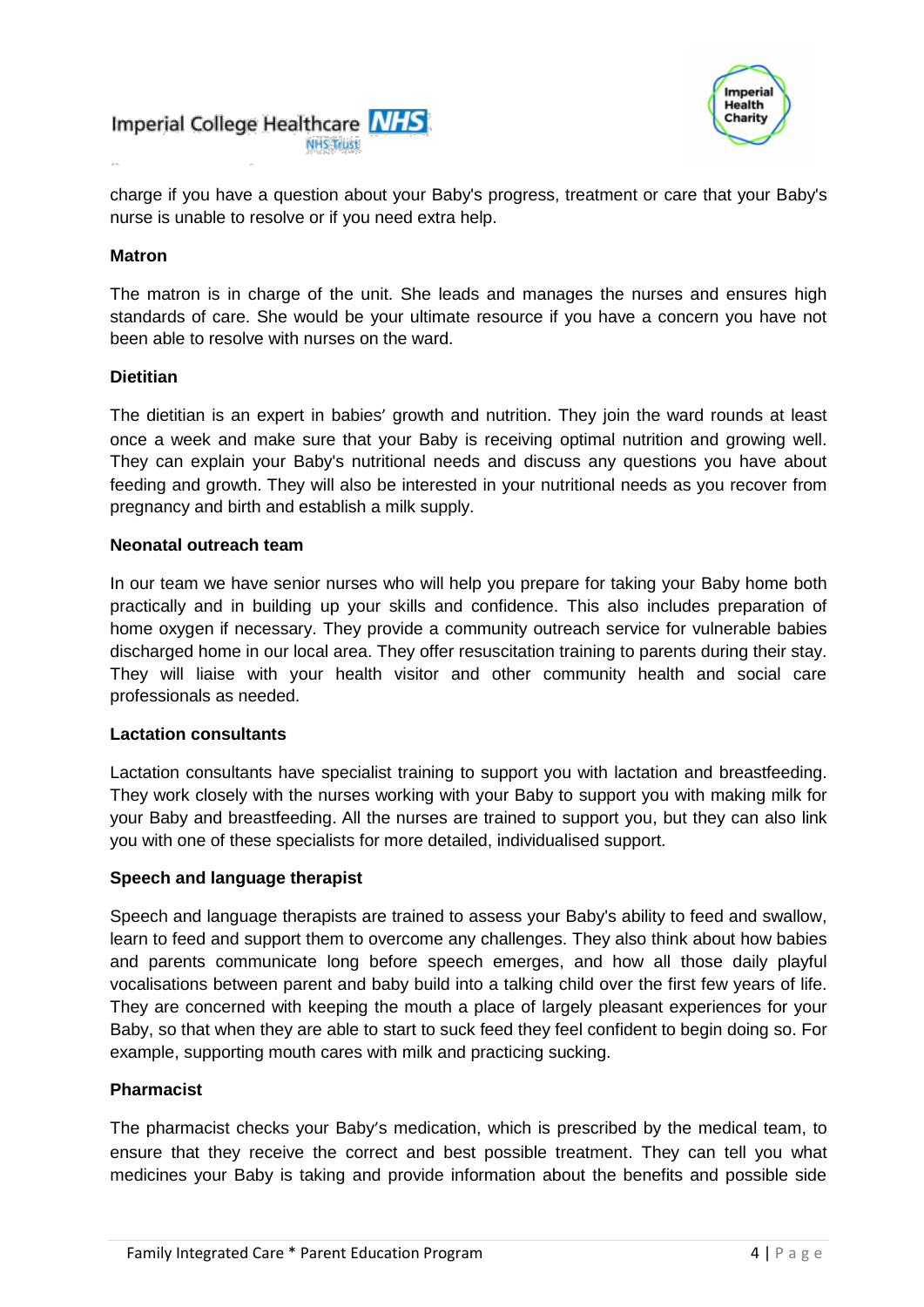



charge if you have a question about your Baby's progress, treatment or care that your Baby's nurse is unable to resolve or if you need extra help.

#### **Matron**

The matron is in charge of the unit. She leads and manages the nurses and ensures high standards of care. She would be your ultimate resource if you have a concern you have not been able to resolve with nurses on the ward.

#### **Dietitian**

The dietitian is an expert in babies' growth and nutrition. They join the ward rounds at least once a week and make sure that your Baby is receiving optimal nutrition and growing well. They can explain your Baby's nutritional needs and discuss any questions you have about feeding and growth. They will also be interested in your nutritional needs as you recover from pregnancy and birth and establish a milk supply.

#### **Neonatal outreach team**

In our team we have senior nurses who will help you prepare for taking your Baby home both practically and in building up your skills and confidence. This also includes preparation of home oxygen if necessary. They provide a community outreach service for vulnerable babies discharged home in our local area. They offer resuscitation training to parents during their stay. They will liaise with your health visitor and other community health and social care professionals as needed.

#### **Lactation consultants**

Lactation consultants have specialist training to support you with lactation and breastfeeding. They work closely with the nurses working with your Baby to support you with making milk for your Baby and breastfeeding. All the nurses are trained to support you, but they can also link you with one of these specialists for more detailed, individualised support.

#### **Speech and language therapist**

Speech and language therapists are trained to assess your Baby's ability to feed and swallow, learn to feed and support them to overcome any challenges. They also think about how babies and parents communicate long before speech emerges, and how all those daily playful vocalisations between parent and baby build into a talking child over the first few years of life. They are concerned with keeping the mouth a place of largely pleasant experiences for your Baby, so that when they are able to start to suck feed they feel confident to begin doing so. For example, supporting mouth cares with milk and practicing sucking.

#### **Pharmacist**

The pharmacist checks your Baby's medication, which is prescribed by the medical team, to ensure that they receive the correct and best possible treatment. They can tell you what medicines your Baby is taking and provide information about the benefits and possible side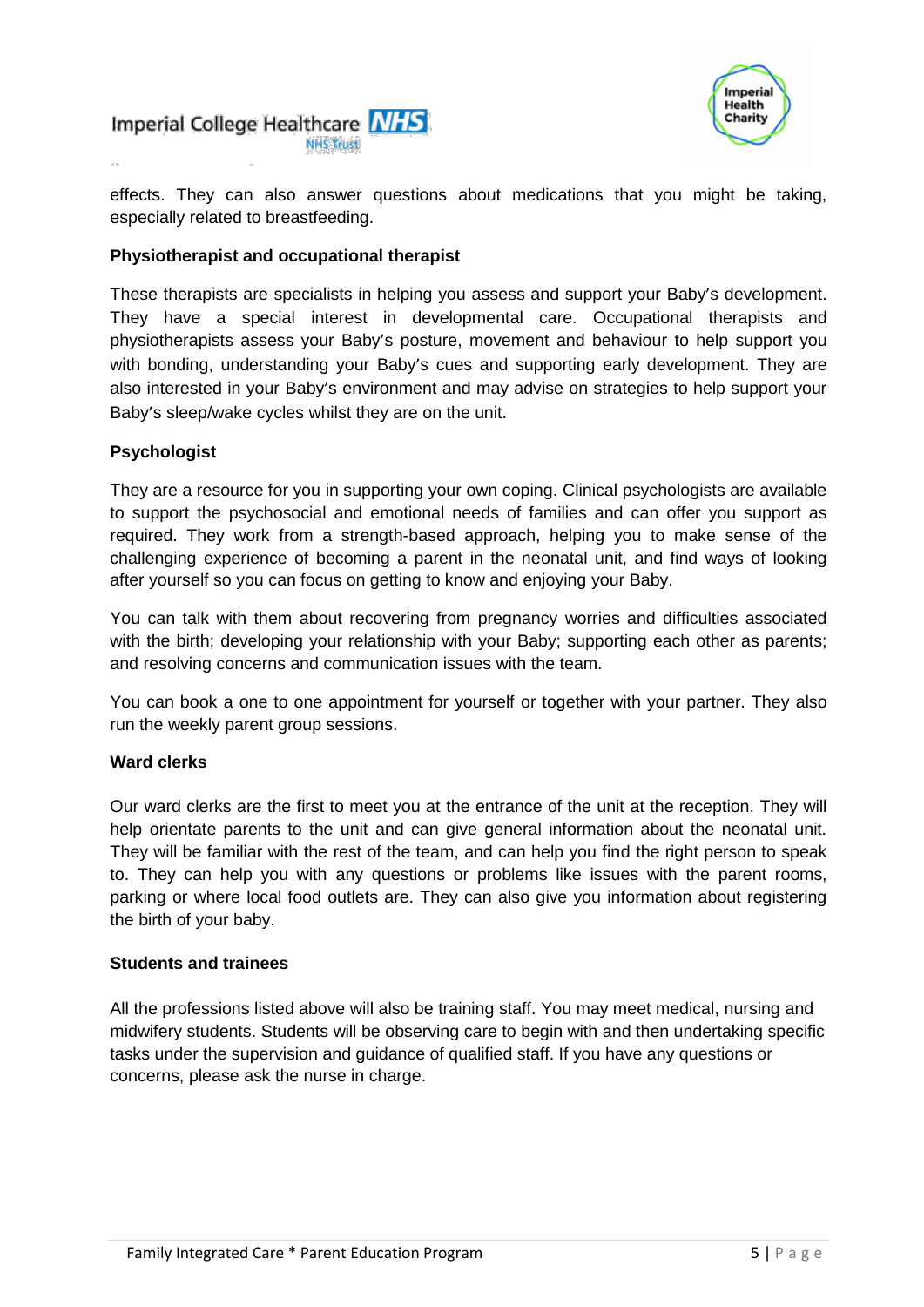



effects. They can also answer questions about medications that you might be taking, especially related to breastfeeding.

#### **Physiotherapist and occupational therapist**

These therapists are specialists in helping you assess and support your Baby's development. They have a special interest in developmental care. Occupational therapists and physiotherapists assess your Baby's posture, movement and behaviour to help support you with bonding, understanding your Baby's cues and supporting early development. They are also interested in your Baby's environment and may advise on strategies to help support your Baby's sleep/wake cycles whilst they are on the unit.

#### **Psychologist**

They are a resource for you in supporting your own coping. Clinical psychologists are available to support the psychosocial and emotional needs of families and can offer you support as required. They work from a strength-based approach, helping you to make sense of the challenging experience of becoming a parent in the neonatal unit, and find ways of looking after yourself so you can focus on getting to know and enjoying your Baby.

You can talk with them about recovering from pregnancy worries and difficulties associated with the birth; developing your relationship with your Baby; supporting each other as parents; and resolving concerns and communication issues with the team.

You can book a one to one appointment for yourself or together with your partner. They also run the weekly parent group sessions.

#### **Ward clerks**

Our ward clerks are the first to meet you at the entrance of the unit at the reception. They will help orientate parents to the unit and can give general information about the neonatal unit. They will be familiar with the rest of the team, and can help you find the right person to speak to. They can help you with any questions or problems like issues with the parent rooms, parking or where local food outlets are. They can also give you information about registering the birth of your baby.

#### **Students and trainees**

All the professions listed above will also be training staff. You may meet medical, nursing and midwifery students. Students will be observing care to begin with and then undertaking specific tasks under the supervision and guidance of qualified staff. If you have any questions or concerns, please ask the nurse in charge.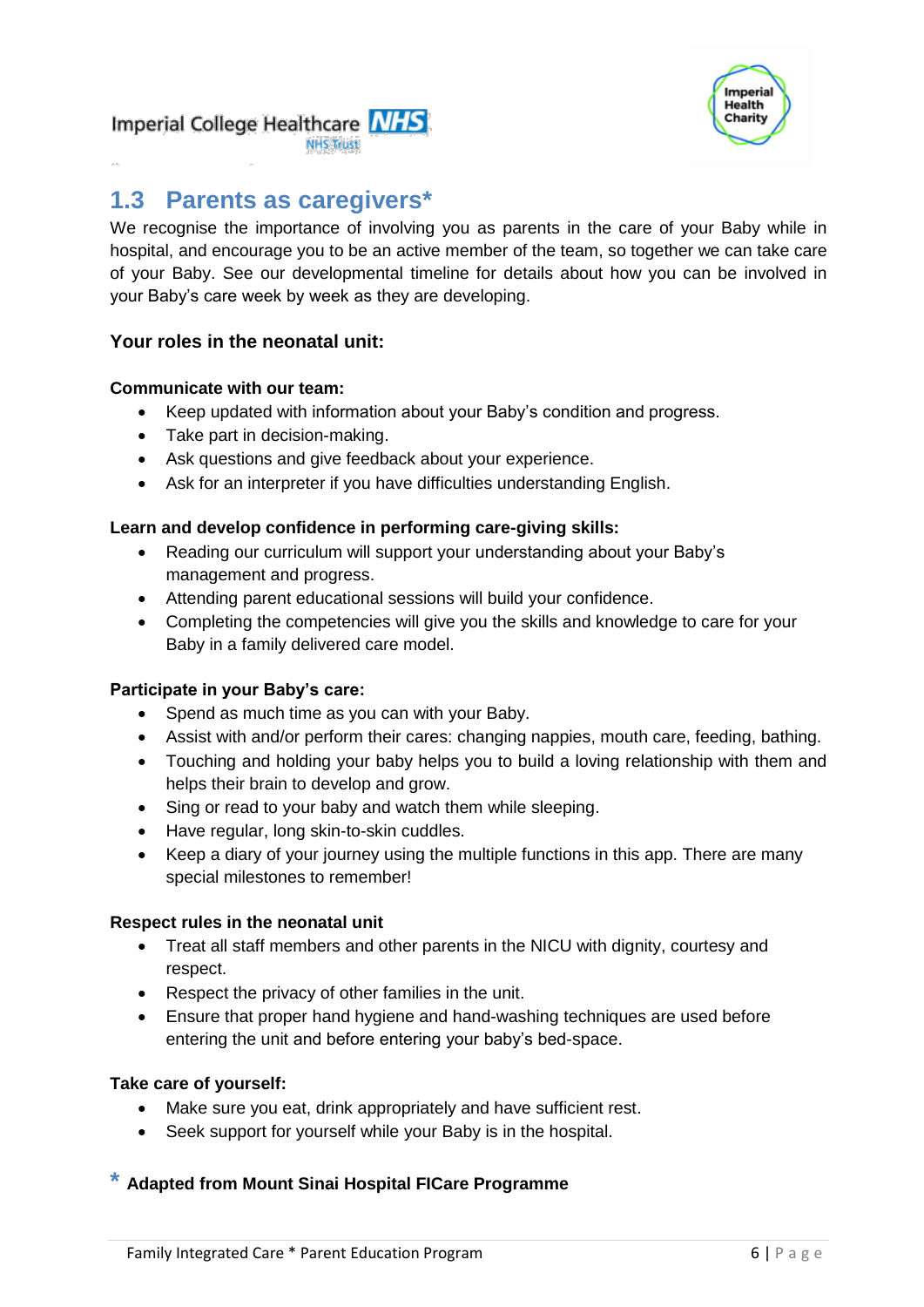

#### Imperial College Healthcare MHS **NHS Trust**

## **1.3 Parents as caregivers\***

We recognise the importance of involving you as parents in the care of your Baby while in hospital, and encourage you to be an active member of the team, so together we can take care of your Baby. See our developmental timeline for details about how you can be involved in your Baby's care week by week as they are developing.

#### **Your roles in the neonatal unit:**

#### **Communicate with our team:**

- Keep updated with information about your Baby's condition and progress.
- Take part in decision-making.
- Ask questions and give feedback about your experience.
- Ask for an interpreter if you have difficulties understanding English.

#### **Learn and develop confidence in performing care-giving skills:**

- Reading our curriculum will support your understanding about your Baby's management and progress.
- Attending parent educational sessions will build your confidence.
- Completing the competencies will give you the skills and knowledge to care for your Baby in a family delivered care model.

#### **Participate in your Baby's care:**

- Spend as much time as you can with your Baby.
- Assist with and/or perform their cares: changing nappies, mouth care, feeding, bathing.
- Touching and holding your baby helps you to build a loving relationship with them and helps their brain to develop and grow.
- Sing or read to your baby and watch them while sleeping.
- Have regular, long skin-to-skin cuddles.
- Keep a diary of your journey using the multiple functions in this app. There are many special milestones to remember!

#### **Respect rules in the neonatal unit**

- Treat all staff members and other parents in the NICU with dignity, courtesy and respect.
- Respect the privacy of other families in the unit.
- Ensure that proper hand hygiene and hand-washing techniques are used before entering the unit and before entering your baby's bed-space.

#### **Take care of yourself:**

- Make sure you eat, drink appropriately and have sufficient rest.
- Seek support for yourself while your Baby is in the hospital.

#### **\* Adapted from Mount Sinai Hospital FICare Programme**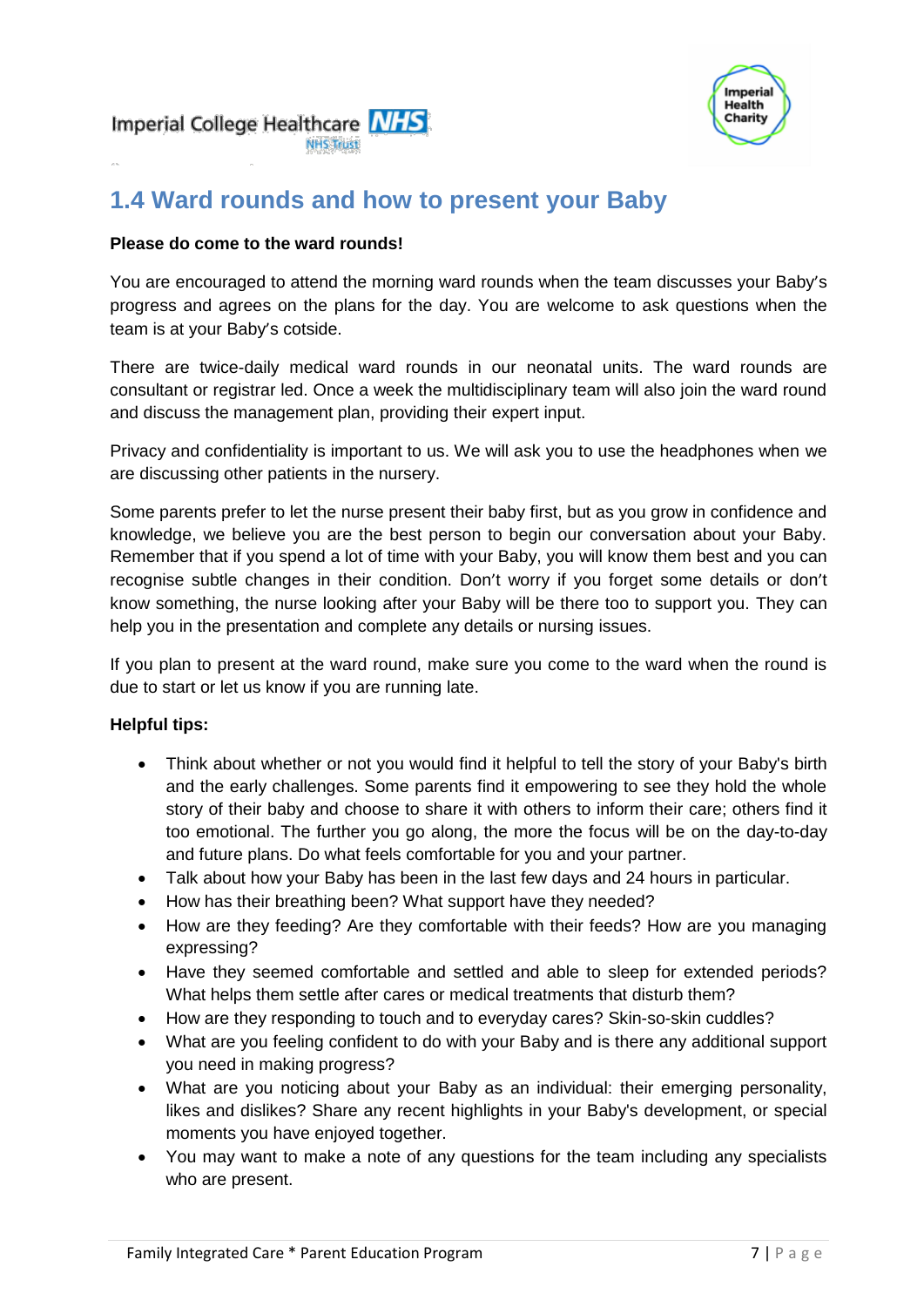



### **1.4 Ward rounds and how to present your Baby**

#### **Please do come to the ward rounds!**

You are encouraged to attend the morning ward rounds when the team discusses your Baby's progress and agrees on the plans for the day. You are welcome to ask questions when the team is at your Baby's cotside.

There are twice-daily medical ward rounds in our neonatal units. The ward rounds are consultant or registrar led. Once a week the multidisciplinary team will also join the ward round and discuss the management plan, providing their expert input.

Privacy and confidentiality is important to us. We will ask you to use the headphones when we are discussing other patients in the nursery.

Some parents prefer to let the nurse present their baby first, but as you grow in confidence and knowledge, we believe you are the best person to begin our conversation about your Baby. Remember that if you spend a lot of time with your Baby, you will know them best and you can recognise subtle changes in their condition. Don't worry if you forget some details or don't know something, the nurse looking after your Baby will be there too to support you. They can help you in the presentation and complete any details or nursing issues.

If you plan to present at the ward round, make sure you come to the ward when the round is due to start or let us know if you are running late.

#### **Helpful tips:**

- Think about whether or not you would find it helpful to tell the story of your Baby's birth and the early challenges. Some parents find it empowering to see they hold the whole story of their baby and choose to share it with others to inform their care; others find it too emotional. The further you go along, the more the focus will be on the day-to-day and future plans. Do what feels comfortable for you and your partner.
- Talk about how your Baby has been in the last few days and 24 hours in particular.
- How has their breathing been? What support have they needed?
- How are they feeding? Are they comfortable with their feeds? How are you managing expressing?
- Have they seemed comfortable and settled and able to sleep for extended periods? What helps them settle after cares or medical treatments that disturb them?
- How are they responding to touch and to everyday cares? Skin-so-skin cuddles?
- What are you feeling confident to do with your Baby and is there any additional support you need in making progress?
- What are you noticing about your Baby as an individual: their emerging personality, likes and dislikes? Share any recent highlights in your Baby's development, or special moments you have enjoyed together.
- You may want to make a note of any questions for the team including any specialists who are present.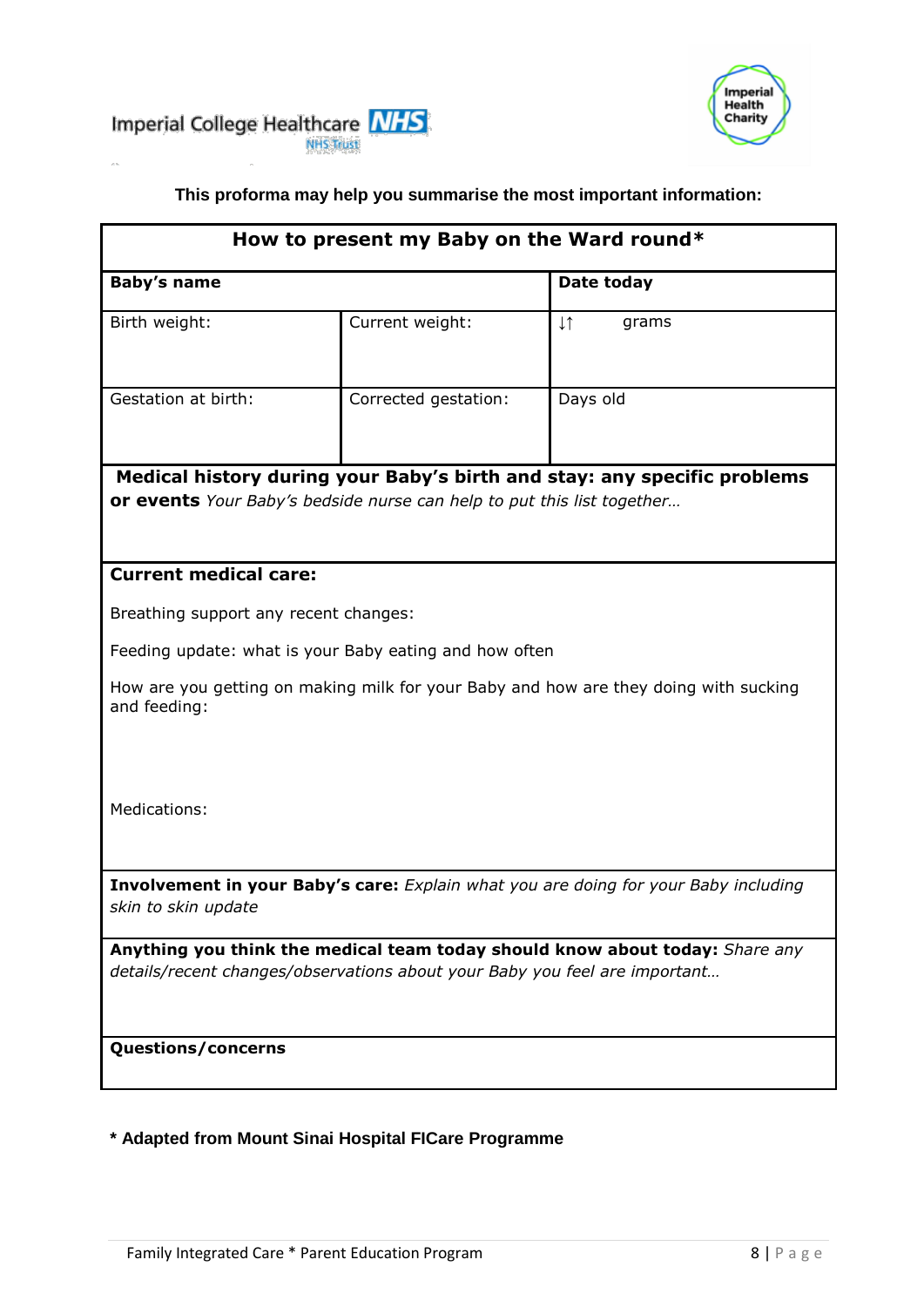



#### **This proforma may help you summarise the most important information:**

| <b>Baby's name</b>                    |                                                                        | Date today                                                                           |
|---------------------------------------|------------------------------------------------------------------------|--------------------------------------------------------------------------------------|
| Birth weight:                         | Current weight:                                                        | $\downarrow \uparrow$<br>grams                                                       |
|                                       |                                                                        |                                                                                      |
| Gestation at birth:                   | Corrected gestation:                                                   | Days old                                                                             |
|                                       |                                                                        |                                                                                      |
|                                       |                                                                        | Medical history during your Baby's birth and stay: any specific problems             |
|                                       | or events Your Baby's bedside nurse can help to put this list together |                                                                                      |
|                                       |                                                                        |                                                                                      |
| <b>Current medical care:</b>          |                                                                        |                                                                                      |
| Breathing support any recent changes: |                                                                        |                                                                                      |
|                                       | Feeding update: what is your Baby eating and how often                 |                                                                                      |
| and feeding:                          |                                                                        | How are you getting on making milk for your Baby and how are they doing with sucking |
|                                       |                                                                        |                                                                                      |
|                                       |                                                                        |                                                                                      |
| Medications:                          |                                                                        |                                                                                      |
|                                       |                                                                        |                                                                                      |
| skin to skin update                   |                                                                        | Involvement in your Baby's care: Explain what you are doing for your Baby including  |
|                                       |                                                                        | Anything you think the medical team today should know about today: Share any         |
|                                       |                                                                        | details/recent changes/observations about your Baby you feel are important           |
|                                       |                                                                        |                                                                                      |
|                                       |                                                                        |                                                                                      |

**\* Adapted from Mount Sinai Hospital FICare Programme**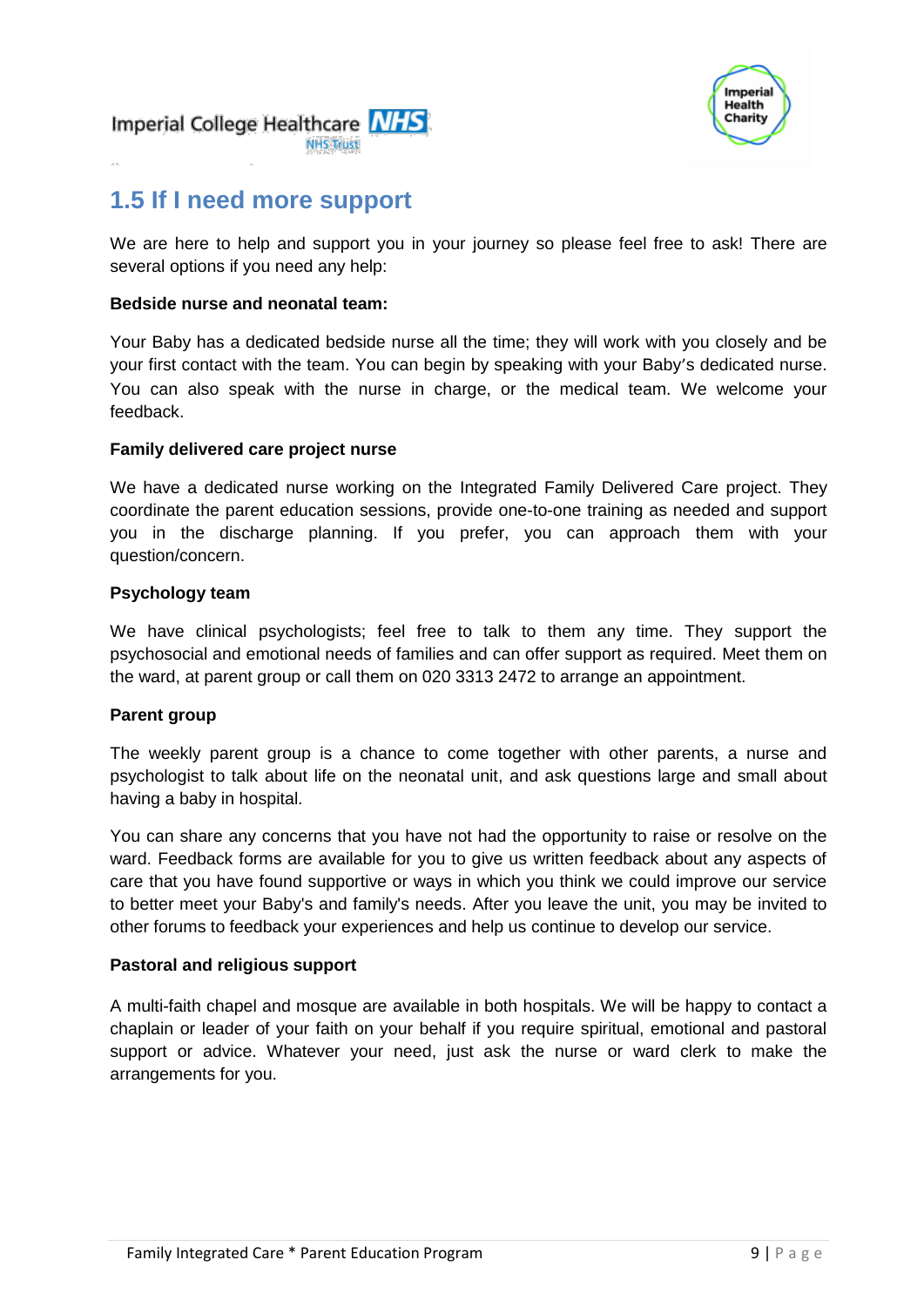



### **1.5 If I need more support**

We are here to help and support you in your journey so please feel free to ask! There are several options if you need any help:

#### **Bedside nurse and neonatal team:**

Your Baby has a dedicated bedside nurse all the time; they will work with you closely and be your first contact with the team. You can begin by speaking with your Baby's dedicated nurse. You can also speak with the nurse in charge, or the medical team. We welcome your feedback.

#### **Family delivered care project nurse**

We have a dedicated nurse working on the Integrated Family Delivered Care project. They coordinate the parent education sessions, provide one-to-one training as needed and support you in the discharge planning. If you prefer, you can approach them with your question/concern.

#### **Psychology team**

We have clinical psychologists; feel free to talk to them any time. They support the psychosocial and emotional needs of families and can offer support as required. Meet them on the ward, at parent group or call them on 020 3313 2472 to arrange an appointment.

#### **Parent group**

The weekly parent group is a chance to come together with other parents, a nurse and psychologist to talk about life on the neonatal unit, and ask questions large and small about having a baby in hospital.

You can share any concerns that you have not had the opportunity to raise or resolve on the ward. Feedback forms are available for you to give us written feedback about any aspects of care that you have found supportive or ways in which you think we could improve our service to better meet your Baby's and family's needs. After you leave the unit, you may be invited to other forums to feedback your experiences and help us continue to develop our service.

#### **Pastoral and religious support**

A multi-faith chapel and mosque are available in both hospitals. We will be happy to contact a chaplain or leader of your faith on your behalf if you require spiritual, emotional and pastoral support or advice. Whatever your need, just ask the nurse or ward clerk to make the arrangements for you.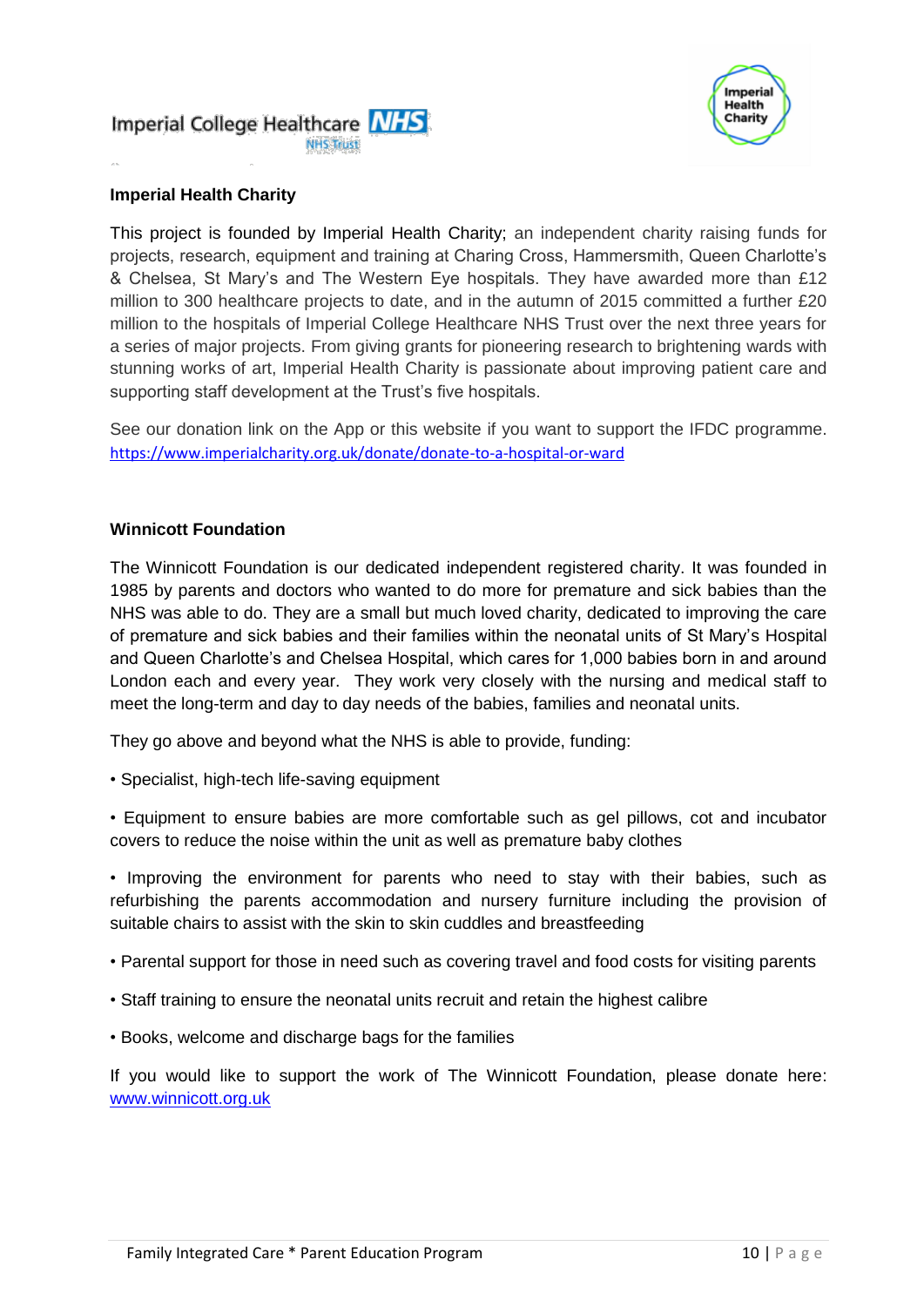

#### **Imperial Health Charity**

This project is founded by Imperial Health Charity; an independent charity raising funds for projects, research, equipment and training at Charing Cross, Hammersmith, Queen Charlotte's & Chelsea, St Mary's and The Western Eye hospitals. They have awarded more than £12 million to 300 healthcare projects to date, and in the autumn of 2015 committed a further £20 million to the hospitals of Imperial College Healthcare NHS Trust over the next three years for a series of major projects. From giving grants for pioneering research to brightening wards with stunning works of art, Imperial Health Charity is passionate about improving patient care and supporting staff development at the Trust's five hospitals.

See our donation link on the App or this website if you want to support the IFDC programme. <https://www.imperialcharity.org.uk/donate/donate-to-a-hospital-or-ward>

#### **Winnicott Foundation**

The Winnicott Foundation is our dedicated independent registered charity. It was founded in 1985 by parents and doctors who wanted to do more for premature and sick babies than the NHS was able to do. They are a small but much loved charity, dedicated to improving the care of premature and sick babies and their families within the neonatal units of St Mary's Hospital and Queen Charlotte's and Chelsea Hospital, which cares for 1,000 babies born in and around London each and every year. They work very closely with the nursing and medical staff to meet the long-term and day to day needs of the babies, families and neonatal units.

They go above and beyond what the NHS is able to provide, funding:

- Specialist, high-tech life-saving equipment
- Equipment to ensure babies are more comfortable such as gel pillows, cot and incubator covers to reduce the noise within the unit as well as premature baby clothes
- Improving the environment for parents who need to stay with their babies, such as refurbishing the parents accommodation and nursery furniture including the provision of suitable chairs to assist with the skin to skin cuddles and breastfeeding
- Parental support for those in need such as covering travel and food costs for visiting parents
- Staff training to ensure the neonatal units recruit and retain the highest calibre
- Books, welcome and discharge bags for the families

If you would like to support the work of The Winnicott Foundation, please donate here: [www.winnicott.org.uk](http://www.winnicott.org.uk/)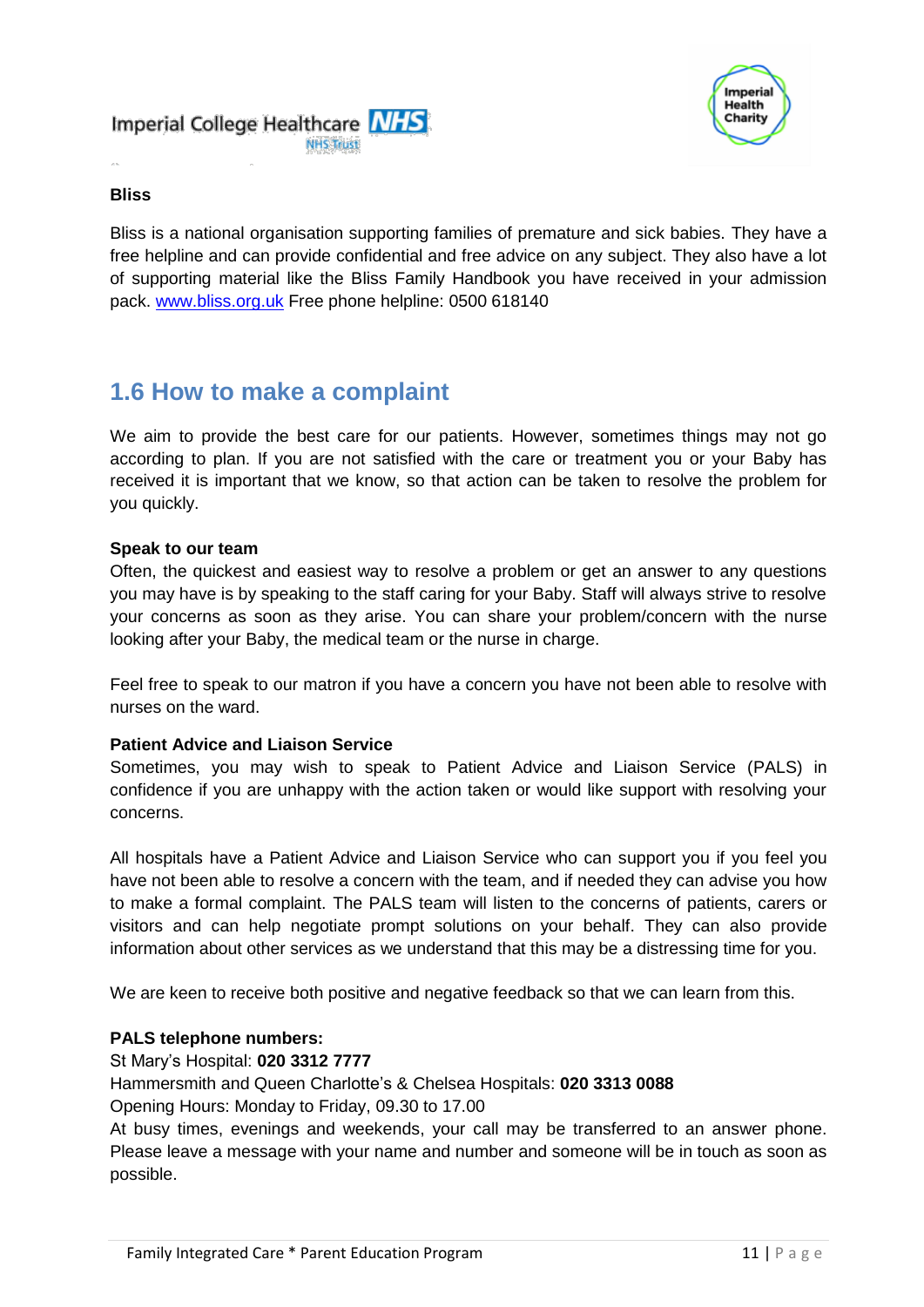



#### **Bliss**

Bliss is a national organisation supporting families of premature and sick babies. They have a free helpline and can provide confidential and free advice on any subject. They also have a lot of supporting material like the Bliss Family Handbook you have received in your admission pack. [www.bliss.org.uk](http://www.bliss.org.uk/) Free phone helpline: 0500 618140

### **1.6 How to make a complaint**

We aim to provide the best care for our patients. However, sometimes things may not go according to plan. If you are not satisfied with the care or treatment you or your Baby has received it is important that we know, so that action can be taken to resolve the problem for you quickly.

#### **Speak to our team**

Often, the quickest and easiest way to resolve a problem or get an answer to any questions you may have is by speaking to the staff caring for your Baby. Staff will always strive to resolve your concerns as soon as they arise. You can share your problem/concern with the nurse looking after your Baby, the medical team or the nurse in charge.

Feel free to speak to our matron if you have a concern you have not been able to resolve with nurses on the ward.

#### **Patient Advice and Liaison Service**

Sometimes, you may wish to speak to Patient Advice and Liaison Service (PALS) in confidence if you are unhappy with the action taken or would like support with resolving your concerns.

All hospitals have a Patient Advice and Liaison Service who can support you if you feel you have not been able to resolve a concern with the team, and if needed they can advise you how to make a formal complaint. The PALS team will listen to the concerns of patients, carers or visitors and can help negotiate prompt solutions on your behalf. They can also provide information about other services as we understand that this may be a distressing time for you.

We are keen to receive both positive and negative feedback so that we can learn from this.

#### **PALS telephone numbers:**

St Mary's Hospital: **020 3312 7777**

Hammersmith and Queen Charlotte's & Chelsea Hospitals: **020 3313 0088** Opening Hours: Monday to Friday, 09.30 to 17.00

At busy times, evenings and weekends, your call may be transferred to an answer phone. Please leave a message with your name and number and someone will be in touch as soon as possible.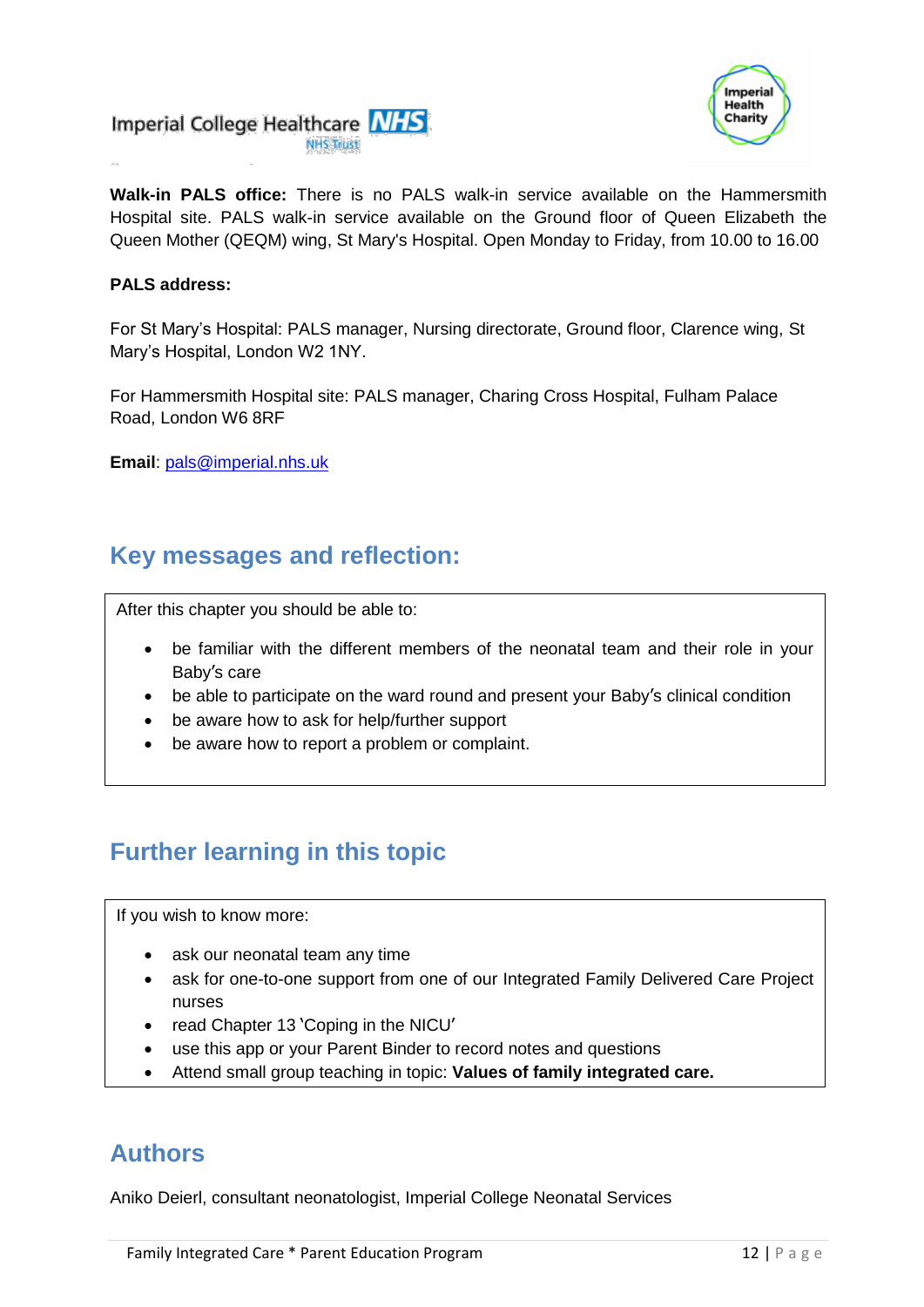



**Walk-in PALS office:** There is no PALS walk-in service available on the Hammersmith Hospital site. PALS walk-in service available on the Ground floor of Queen Elizabeth the Queen Mother (QEQM) wing, St Mary's Hospital. Open Monday to Friday, from 10.00 to 16.00

#### **PALS address:**

For St Mary's Hospital: PALS manager, Nursing directorate, Ground floor, Clarence wing, St Mary's Hospital, London W2 1NY.

For Hammersmith Hospital site: PALS manager, Charing Cross Hospital, Fulham Palace Road, London W6 8RF

**Email**: [pals@imperial.nhs.uk](mailto:pals@imperial.nhs.uk)

### **Key messages and reflection:**

After this chapter you should be able to:

- be familiar with the different members of the neonatal team and their role in your Baby's care
- be able to participate on the ward round and present your Baby's clinical condition
- be aware how to ask for help/further support
- be aware how to report a problem or complaint.

### **Further learning in this topic**

If you wish to know more:

- ask our neonatal team any time
- ask for one-to-one support from one of our Integrated Family Delivered Care Project nurses
- read Chapter 13 'Coping in the NICU'
- use this app or your Parent Binder to record notes and questions
- Attend small group teaching in topic: **Values of family integrated care.**

### **Authors**

Aniko Deierl, consultant neonatologist, Imperial College Neonatal Services